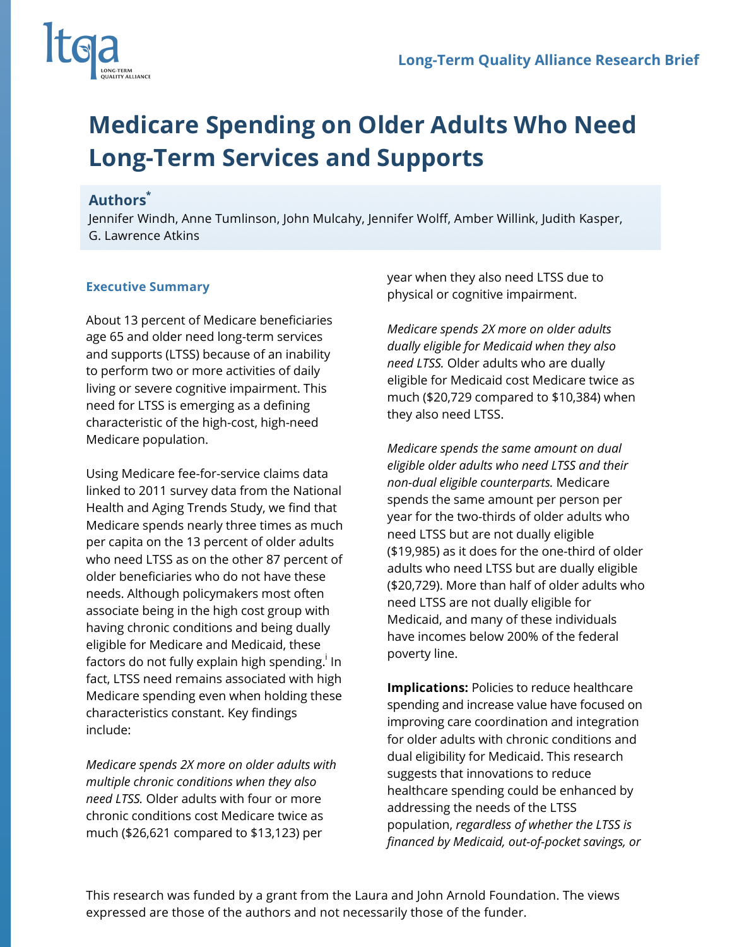

## **Medicare Spending on Older Adults Who Need Long-Term Services and Supports**

## **Authors\***

Jennifer Windh, Anne Tumlinson, John Mulcahy, Jennifer Wolff, Amber Willink, Judith Kasper, G. Lawrence Atkins

## **Executive Summary**

About 13 percent of Medicare beneficiaries age 65 and older need long-term services and supports (LTSS) because of an inability to perform two or more activities of daily living or severe cognitive impairment. This need for LTSS is emerging as a defining characteristic of the high-cost, high-need Medicare population.

Using Medicare fee-for-service claims data linked to 2011 survey data from the National Health and Aging Trends Study, we find that Medicare spends nearly three times as much per capita on the 13 percent of older adults who need LTSS as on the other 87 percent of older beneficiaries who do not have these needs. Although policymakers most often associate being in the high cost group with having chronic conditions and being dually eligible for Medicare and Medicaid, these factors do not fully explain high spending. $^{\sf i}$  In  $^{\sf i}$ fact, LTSS need remains associated with high Medicare spending even when holding these characteristics constant. Key findings include:

*Medicare spends 2X more on older adults with multiple chronic conditions when they also need LTSS.* Older adults with four or more chronic conditions cost Medicare twice as much (\$26,621 compared to \$13,123) per

year when they also need LTSS due to physical or cognitive impairment.

*Medicare spends 2X more on older adults dually eligible for Medicaid when they also need LTSS.* Older adults who are dually eligible for Medicaid cost Medicare twice as much (\$20,729 compared to \$10,384) when they also need LTSS.

*Medicare spends the same amount on dual eligible older adults who need LTSS and their non-dual eligible counterparts.* Medicare spends the same amount per person per year for the two-thirds of older adults who need LTSS but are not dually eligible (\$19,985) as it does for the one-third of older adults who need LTSS but are dually eligible (\$20,729). More than half of older adults who need LTSS are not dually eligible for Medicaid, and many of these individuals have incomes below 200% of the federal poverty line.

**Implications:** Policies to reduce healthcare spending and increase value have focused on improving care coordination and integration for older adults with chronic conditions and dual eligibility for Medicaid. This research suggests that innovations to reduce healthcare spending could be enhanced by addressing the needs of the LTSS population, *regardless of whether the LTSS is financed by Medicaid, out-of-pocket savings, or* 

This research was funded by a grant from the Laura and John Arnold Foundation. The views expressed are those of the authors and not necessarily those of the funder.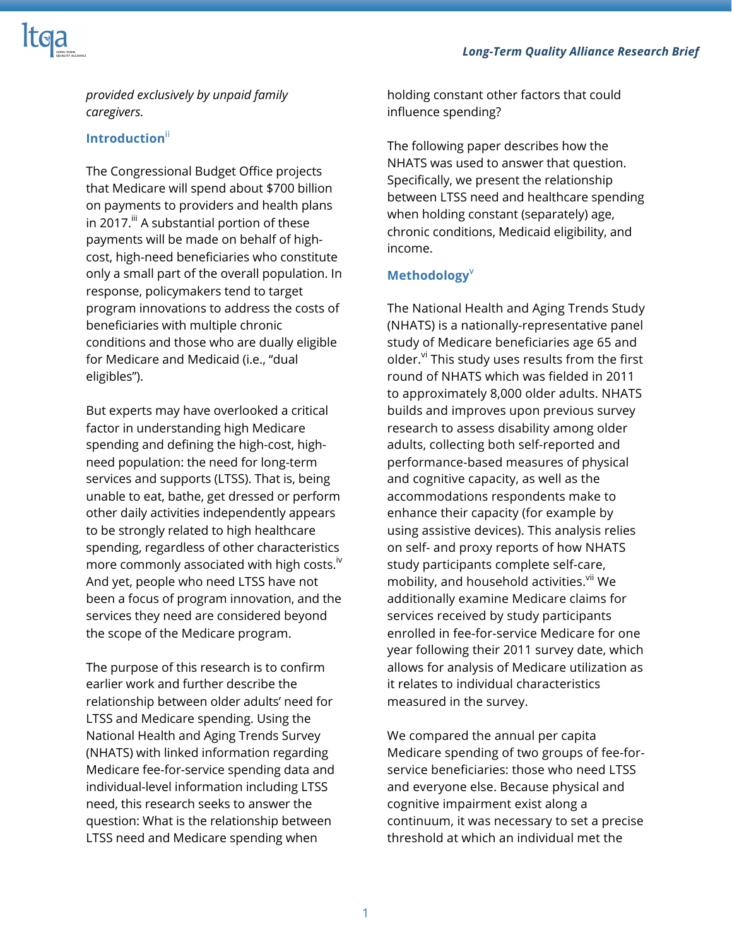

*provided exclusively by unpaid family caregivers.*

## **Introduction**ii

The Congressional Budget Office projects that Medicare will spend about \$700 billion on payments to providers and health plans in 2017. $\mathbb{I}^n$  A substantial portion of these payments will be made on behalf of highcost, high-need beneficiaries who constitute only a small part of the overall population. In response, policymakers tend to target program innovations to address the costs of beneficiaries with multiple chronic conditions and those who are dually eligible for Medicare and Medicaid (i.e., "dual eligibles").

But experts may have overlooked a critical factor in understanding high Medicare spending and defining the high-cost, highneed population: the need for long-term services and supports (LTSS). That is, being unable to eat, bathe, get dressed or perform other daily activities independently appears to be strongly related to high healthcare spending, regardless of other characteristics more commonly associated with high costs.<sup>iv</sup> And yet, people who need LTSS have not been a focus of program innovation, and the services they need are considered beyond the scope of the Medicare program.

The purpose of this research is to confirm earlier work and further describe the relationship between older adults' need for LTSS and Medicare spending. Using the National Health and Aging Trends Survey (NHATS) with linked information regarding Medicare fee-for-service spending data and individual-level information including LTSS need, this research seeks to answer the question: What is the relationship between LTSS need and Medicare spending when

holding constant other factors that could influence spending?

The following paper describes how the NHATS was used to answer that question. Specifically, we present the relationship between LTSS need and healthcare spending when holding constant (separately) age, chronic conditions, Medicaid eligibility, and income.

## **Methodology**<sup>v</sup>

The National Health and Aging Trends Study (NHATS) is a nationally-representative panel study of Medicare beneficiaries age 65 and older. $v$ <sup>i</sup> This study uses results from the first round of NHATS which was fielded in 2011 to approximately 8,000 older adults. NHATS builds and improves upon previous survey research to assess disability among older adults, collecting both self-reported and performance-based measures of physical and cognitive capacity, as well as the accommodations respondents make to enhance their capacity (for example by using assistive devices). This analysis relies on self- and proxy reports of how NHATS study participants complete self-care, mobility, and household activities.<sup>vii</sup> We additionally examine Medicare claims for services received by study participants enrolled in fee-for-service Medicare for one year following their 2011 survey date, which allows for analysis of Medicare utilization as it relates to individual characteristics measured in the survey.

We compared the annual per capita Medicare spending of two groups of fee-forservice beneficiaries: those who need LTSS and everyone else. Because physical and cognitive impairment exist along a continuum, it was necessary to set a precise threshold at which an individual met the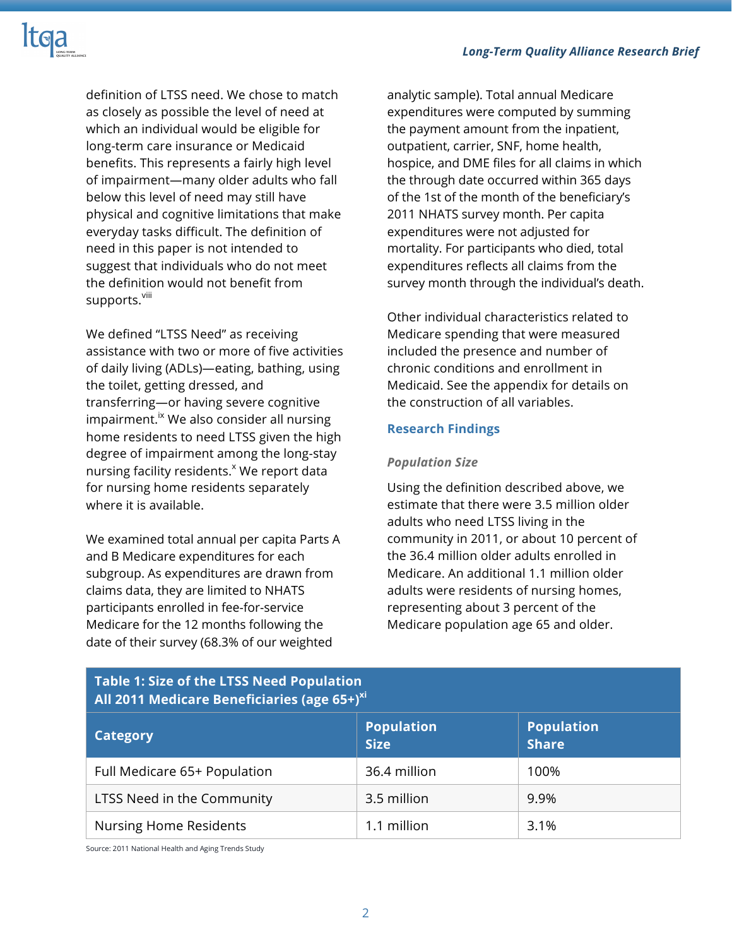

definition of LTSS need. We chose to match as closely as possible the level of need at which an individual would be eligible for long-term care insurance or Medicaid benefits. This represents a fairly high level of impairment—many older adults who fall below this level of need may still have physical and cognitive limitations that make everyday tasks difficult. The definition of need in this paper is not intended to suggest that individuals who do not meet the definition would not benefit from supports.<sup>viii</sup>

We defined "LTSS Need" as receiving assistance with two or more of five activities of daily living (ADLs)—eating, bathing, using the toilet, getting dressed, and transferring—or having severe cognitive  $impairment.<sup>ix</sup> We also consider all nursing$ home residents to need LTSS given the high degree of impairment among the long-stay nursing facility residents.<sup>x</sup> We report data for nursing home residents separately where it is available.

We examined total annual per capita Parts A and B Medicare expenditures for each subgroup. As expenditures are drawn from claims data, they are limited to NHATS participants enrolled in fee-for-service Medicare for the 12 months following the date of their survey (68.3% of our weighted

analytic sample). Total annual Medicare expenditures were computed by summing the payment amount from the inpatient, outpatient, carrier, SNF, home health, hospice, and DME files for all claims in which the through date occurred within 365 days of the 1st of the month of the beneficiary's 2011 NHATS survey month. Per capita expenditures were not adjusted for mortality. For participants who died, total expenditures reflects all claims from the survey month through the individual's death.

Other individual characteristics related to Medicare spending that were measured included the presence and number of chronic conditions and enrollment in Medicaid. See the appendix for details on the construction of all variables.

### **Research Findings**

#### *Population Size*

Using the definition described above, we estimate that there were 3.5 million older adults who need LTSS living in the community in 2011, or about 10 percent of the 36.4 million older adults enrolled in Medicare. An additional 1.1 million older adults were residents of nursing homes, representing about 3 percent of the Medicare population age 65 and older.

| <b>Table 1: Size of the LTSS Need Population</b><br>All 2011 Medicare Beneficiaries (age 65+) <sup>xi</sup> |                                  |                                   |  |
|-------------------------------------------------------------------------------------------------------------|----------------------------------|-----------------------------------|--|
| <b>Category</b>                                                                                             | <b>Population</b><br><b>Size</b> | <b>Population</b><br><b>Share</b> |  |
| Full Medicare 65+ Population                                                                                | 36.4 million                     | 100%                              |  |
| LTSS Need in the Community                                                                                  | 3.5 million                      | 9.9%                              |  |
| <b>Nursing Home Residents</b>                                                                               | 1.1 million                      | 3.1%                              |  |

Source: 2011 National Health and Aging Trends Study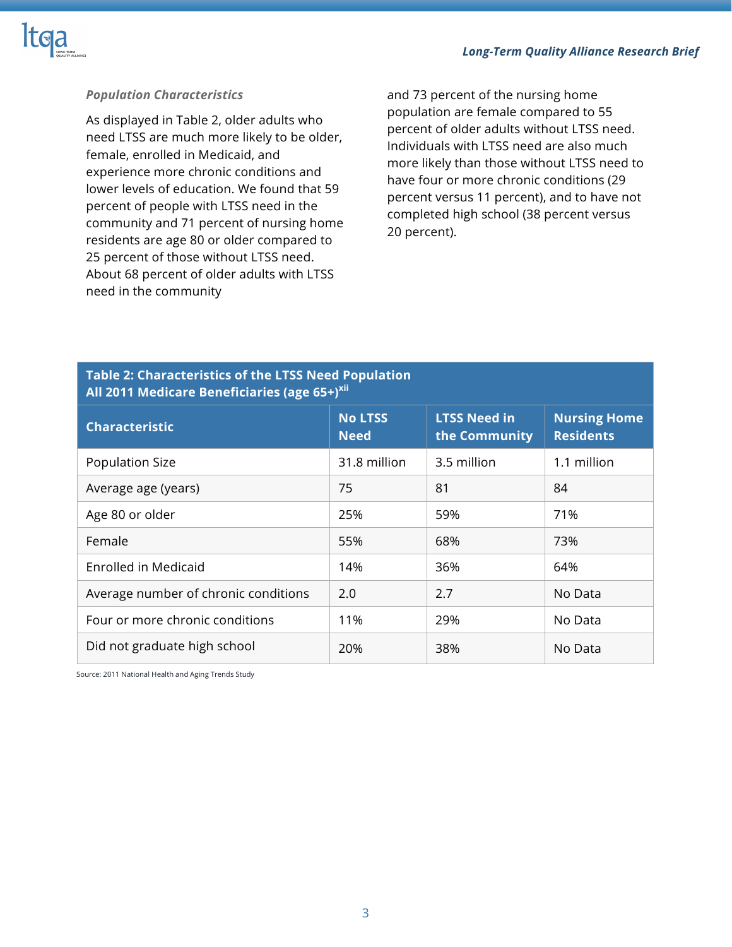

## *Population Characteristics*

As displayed in Table 2, older adults who need LTSS are much more likely to be older, female, enrolled in Medicaid, and experience more chronic conditions and lower levels of education. We found that 59 percent of people with LTSS need in the community and 71 percent of nursing home residents are age 80 or older compared to 25 percent of those without LTSS need. About 68 percent of older adults with LTSS need in the community

and 73 percent of the nursing home population are female compared to 55 percent of older adults without LTSS need. Individuals with LTSS need are also much more likely than those without LTSS need to have four or more chronic conditions (29 percent versus 11 percent), and to have not completed high school (38 percent versus 20 percent).

## **All 2011 Medicare Beneficiaries (age 65+)<sup>xii</sup> Characteristic No LTSS Need LTSS Need in the Community Nursing Home Residents** Population Size 2012 1.1 million 31.8 million 2.5 million 1.1 million Average age (years) 175 81 84 Age 80 or older 25% 80 or older 25% 80 or  $\frac{1}{25\%}$ Female 55% 68% 73% Enrolled in Medicaid 14% 86% 864% 64% Average number of chronic conditions  $\vert$  2.0  $\vert$  2.7 No Data Four or more chronic conditions 11% 11% 29% No Data Did not graduate high school 120% 138% No Data

# **Table 2: Characteristics of the LTSS Need Population**

Source: 2011 National Health and Aging Trends Study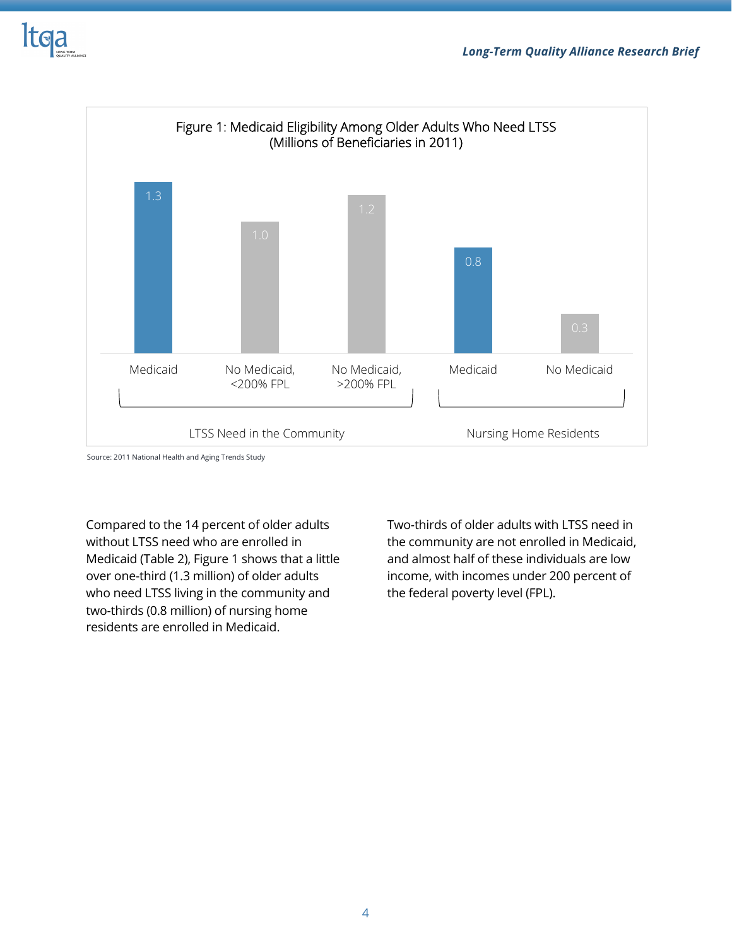



Source: 2011 National Health and Aging Trends Study

Compared to the 14 percent of older adults without LTSS need who are enrolled in Medicaid (Table 2), Figure 1 shows that a little over one-third (1.3 million) of older adults who need LTSS living in the community and two-thirds (0.8 million) of nursing home residents are enrolled in Medicaid.

Two-thirds of older adults with LTSS need in the community are not enrolled in Medicaid, and almost half of these individuals are low income, with incomes under 200 percent of the federal poverty level (FPL).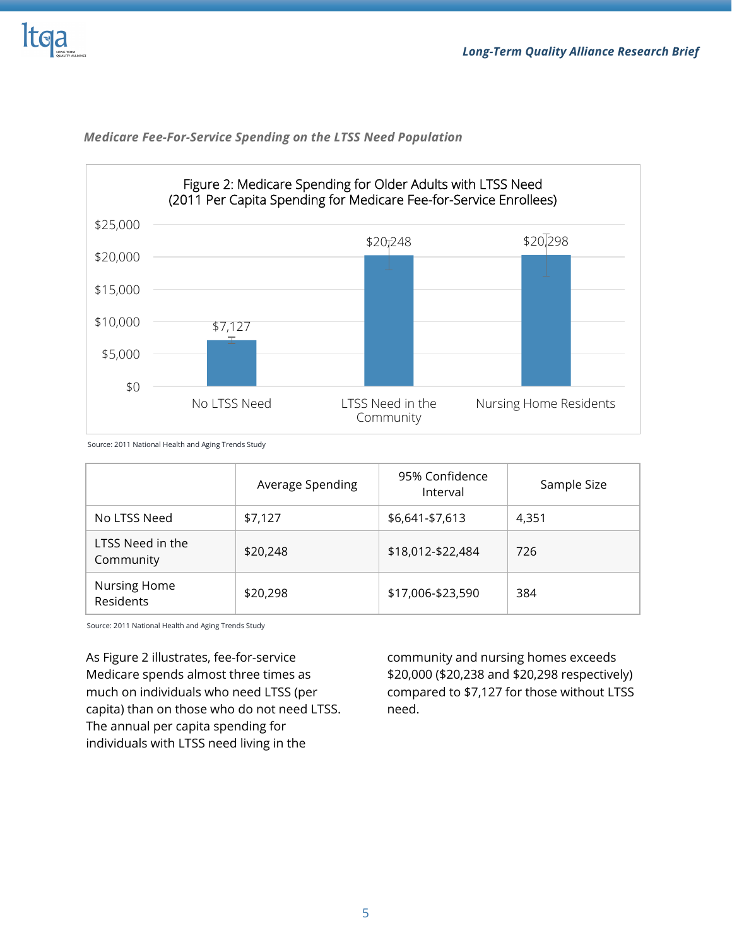



### *Medicare Fee-For-Service Spending on the LTSS Need Population*

Source: 2011 National Health and Aging Trends Study

|                               | Average Spending | 95% Confidence<br>Interval | Sample Size |
|-------------------------------|------------------|----------------------------|-------------|
| No LTSS Need                  | \$7,127          | \$6,641-\$7,613            | 4,351       |
| LTSS Need in the<br>Community | \$20,248         | \$18,012-\$22,484          | 726         |
| Nursing Home<br>Residents     | \$20,298         | \$17,006-\$23,590          | 384         |

Source: 2011 National Health and Aging Trends Study

As Figure 2 illustrates, fee-for-service Medicare spends almost three times as much on individuals who need LTSS (per capita) than on those who do not need LTSS. The annual per capita spending for individuals with LTSS need living in the

community and nursing homes exceeds \$20,000 (\$20,238 and \$20,298 respectively) compared to \$7,127 for those without LTSS need.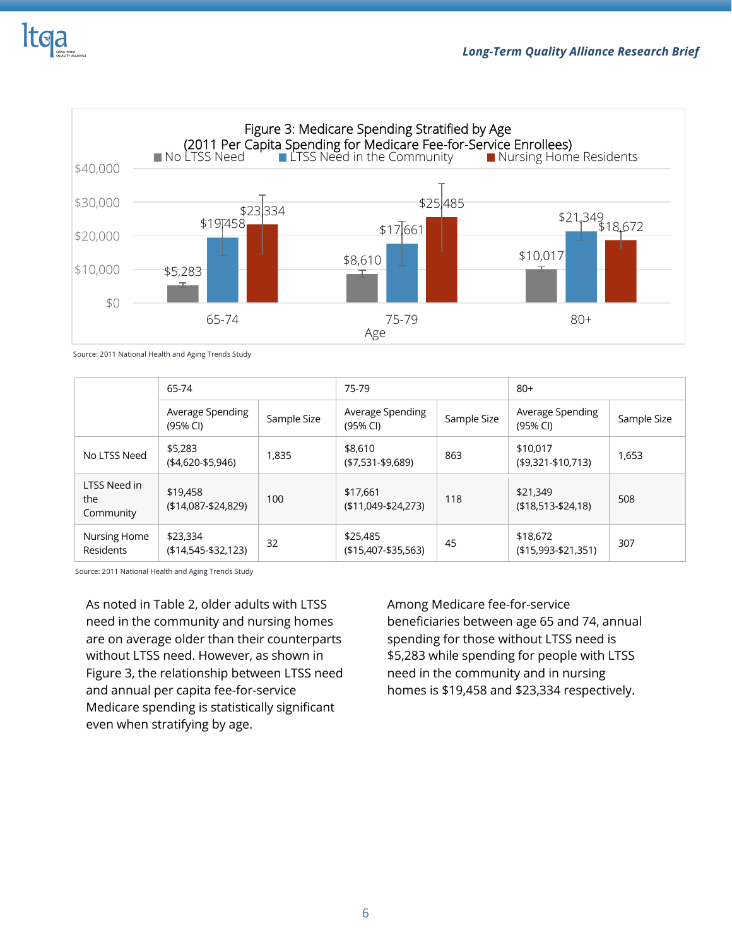



Source: 2011 National Health and Aging Trends Study

|                                  | 65-74                             |             | 75-79                             |             | $80+$                             |             |
|----------------------------------|-----------------------------------|-------------|-----------------------------------|-------------|-----------------------------------|-------------|
|                                  | Average Spending<br>(95% CI)      | Sample Size | Average Spending<br>(95% CI)      | Sample Size | Average Spending<br>(95% CI)      | Sample Size |
| No LTSS Need                     | \$5,283<br>$(*4,620-$5,946)$      | 1,835       | \$8,610<br>$( $7,531 - $9,689 )$  | 863         | \$10,017<br>$($ \$9,321-\$10,713) | 1,653       |
| LTSS Need in<br>the<br>Community | \$19,458<br>$($14,087 - $24,829)$ | 100         | \$17,661<br>$($11,049-$24,273)$   | 118         | \$21,349<br>$( $18,513 - $24,18)$ | 508         |
| Nursing Home<br>Residents        | \$23,334<br>$($14,545-$32,123)$   | 32          | \$25,485<br>$($15,407 - $35,563)$ | 45          | \$18,672<br>$(15,993 - 21,351)$   | 307         |

Source: 2011 National Health and Aging Trends Study

As noted in Table 2, older adults with LTSS need in the community and nursing homes are on average older than their counterparts without LTSS need. However, as shown in Figure 3, the relationship between LTSS need and annual per capita fee-for-service Medicare spending is statistically significant even when stratifying by age.

Among Medicare fee-for-service beneficiaries between age 65 and 74, annual spending for those without LTSS need is \$5,283 while spending for people with LTSS need in the community and in nursing homes is \$19,458 and \$23,334 respectively.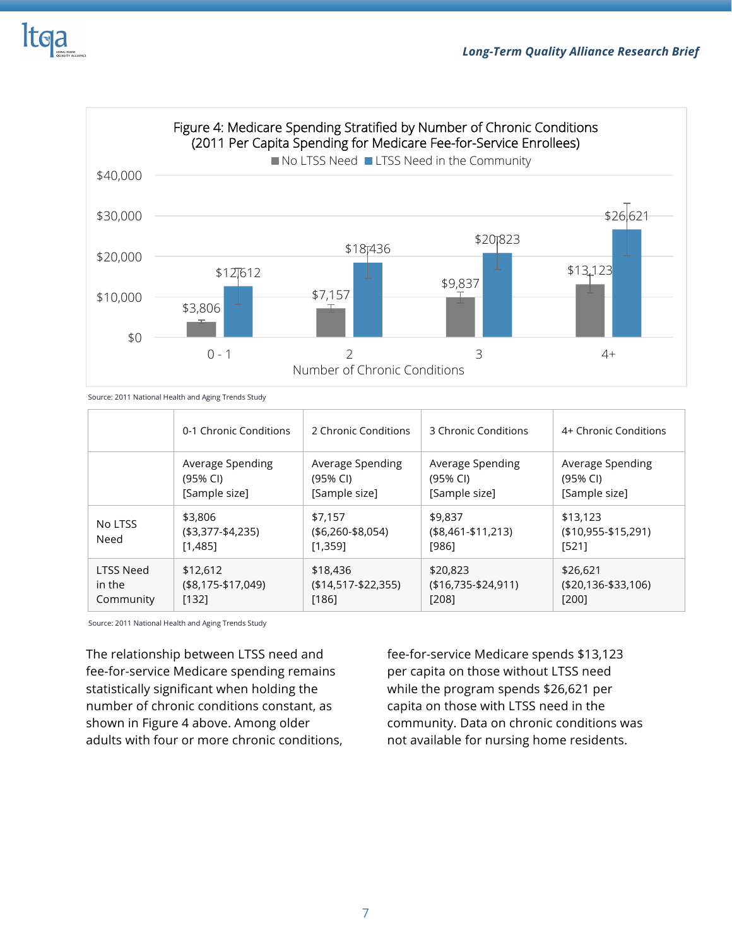



Source: 2011 National Health and Aging Trends Study

|                 | 0-1 Chronic Conditions                     | 2 Chronic Conditions                       | 3 Chronic Conditions                     | 4+ Chronic Conditions                      |
|-----------------|--------------------------------------------|--------------------------------------------|------------------------------------------|--------------------------------------------|
|                 | Average Spending                           | Average Spending                           | Average Spending                         | Average Spending                           |
|                 | (95% CI)                                   | (95% CI)                                   | (95% CI)                                 | (95% CI)                                   |
|                 | [Sample size]                              | [Sample size]                              | [Sample size]                            | [Sample size]                              |
| No LTSS<br>Need | \$3,806<br>$( $3,377 - $4,235)$<br>[1,485] | \$7,157<br>$( $6,260 - $8,054)$<br>[1,359] | \$9,837<br>$($8,461 - $11,213)$<br>[986] | \$13,123<br>$(10, 955 - 15, 291)$<br>[521] |
| LTSS Need       | \$12,612                                   | \$18,436                                   | \$20,823                                 | \$26,621                                   |
| in the          | $($8,175-$17,049)$                         | $($14,517 - $22,355)$                      | $(16,735-124,911)$                       | $( $20,136 - $33,106)$                     |
| Community       | [132]                                      | [186]                                      | [208]                                    | [200]                                      |

Source: 2011 National Health and Aging Trends Study

The relationship between LTSS need and fee-for-service Medicare spending remains statistically significant when holding the number of chronic conditions constant, as shown in Figure 4 above. Among older adults with four or more chronic conditions,

fee-for-service Medicare spends \$13,123 per capita on those without LTSS need while the program spends \$26,621 per capita on those with LTSS need in the community. Data on chronic conditions was not available for nursing home residents.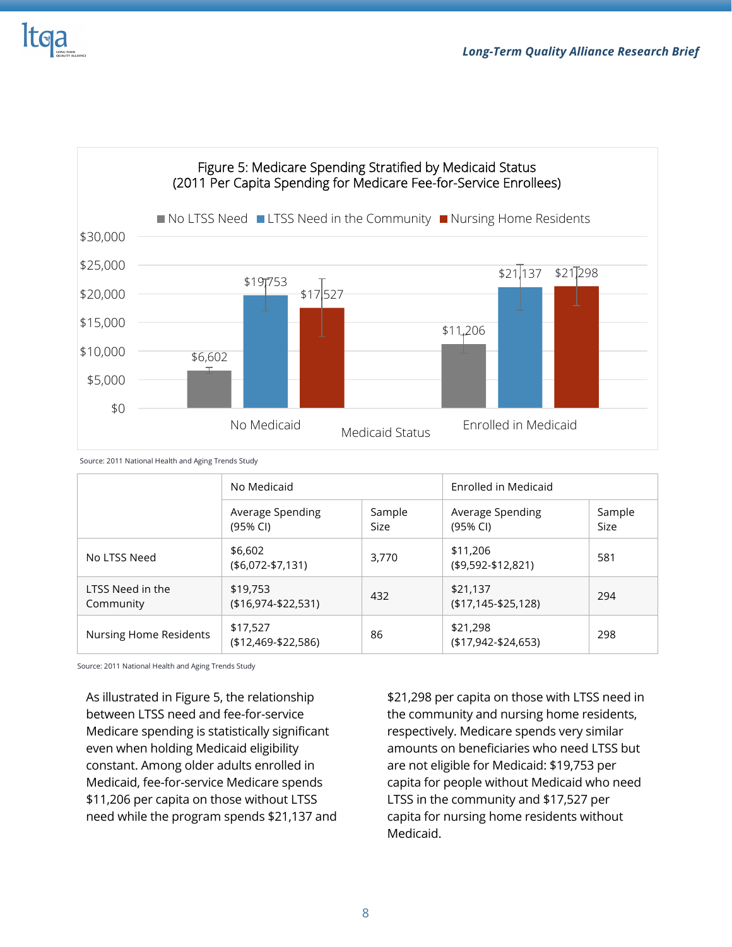



## Figure 5: Medicare Spending Stratified by Medicaid Status

Source: 2011 National Health and Aging Trends Study

|                               | No Medicaid                          |                | Enrolled in Medicaid              |                       |
|-------------------------------|--------------------------------------|----------------|-----------------------------------|-----------------------|
|                               | Average Spending<br>$(95%$ CI)       | Sample<br>Size | Average Spending<br>(95% CI)      | Sample<br><b>Size</b> |
| No LTSS Need                  | \$6,602<br>$($6,072-$7,131)$         | 3,770          | \$11,206<br>$($9,592-$12,821)$    | 581                   |
| LTSS Need in the<br>Community | \$19,753<br>$( $16, 974 - $22, 531)$ | 432            | \$21,137<br>$(17, 145 - 25, 128)$ | 294                   |
| <b>Nursing Home Residents</b> | \$17,527<br>$($12,469 - $22,586)$    | 86             | \$21,298<br>$($17,942-$24,653)$   | 298                   |

Source: 2011 National Health and Aging Trends Study

As illustrated in Figure 5, the relationship between LTSS need and fee-for-service Medicare spending is statistically significant even when holding Medicaid eligibility constant. Among older adults enrolled in Medicaid, fee-for-service Medicare spends \$11,206 per capita on those without LTSS need while the program spends \$21,137 and \$21,298 per capita on those with LTSS need in the community and nursing home residents, respectively. Medicare spends very similar amounts on beneficiaries who need LTSS but are not eligible for Medicaid: \$19,753 per capita for people without Medicaid who need LTSS in the community and \$17,527 per capita for nursing home residents without Medicaid.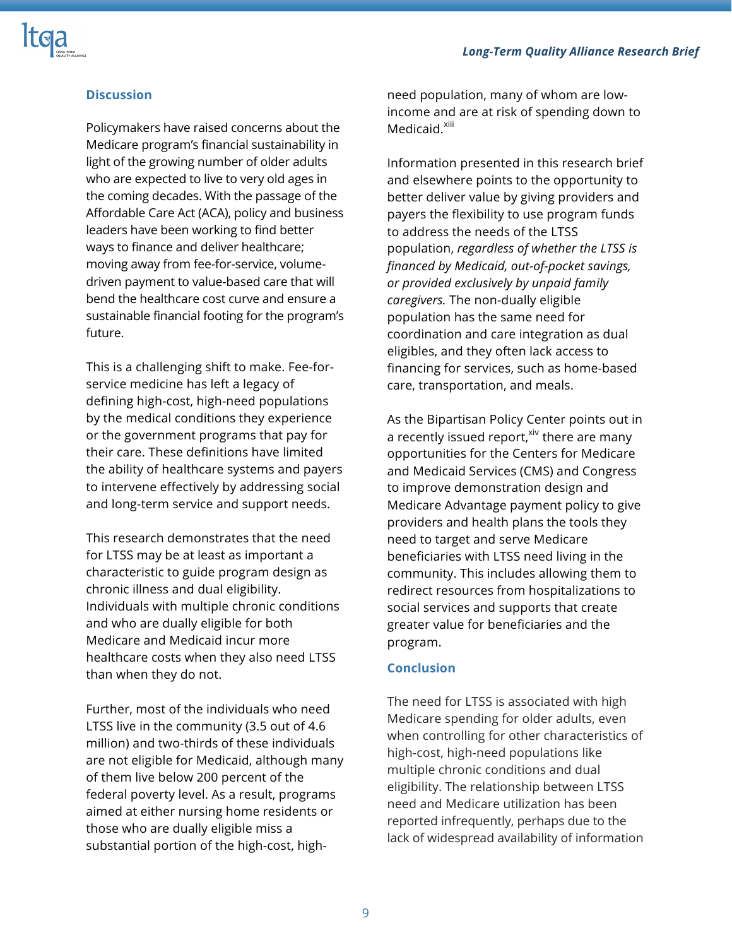

## **Discussion**

Policymakers have raised concerns about the Medicare program's financial sustainability in light of the growing number of older adults who are expected to live to very old ages in the coming decades. With the passage of the Affordable Care Act (ACA), policy and business leaders have been working to find better ways to finance and deliver healthcare; moving away from fee-for-service, volumedriven payment to value-based care that will bend the healthcare cost curve and ensure a sustainable financial footing for the program's future.

This is a challenging shift to make. Fee-forservice medicine has left a legacy of defining high-cost, high-need populations by the medical conditions they experience or the government programs that pay for their care. These definitions have limited the ability of healthcare systems and payers to intervene effectively by addressing social and long-term service and support needs.

This research demonstrates that the need for LTSS may be at least as important a characteristic to guide program design as chronic illness and dual eligibility. Individuals with multiple chronic conditions and who are dually eligible for both Medicare and Medicaid incur more healthcare costs when they also need LTSS than when they do not.

Further, most of the individuals who need LTSS live in the community (3.5 out of 4.6 million) and two-thirds of these individuals are not eligible for Medicaid, although many of them live below 200 percent of the federal poverty level. As a result, programs aimed at either nursing home residents or those who are dually eligible miss a substantial portion of the high-cost, highneed population, many of whom are lowincome and are at risk of spending down to Medicaid.<sup>xiii</sup>

Information presented in this research brief and elsewhere points to the opportunity to better deliver value by giving providers and payers the flexibility to use program funds to address the needs of the LTSS population, *regardless of whether the LTSS is financed by Medicaid, out-of-pocket savings, or provided exclusively by unpaid family caregivers.* The non-dually eligible population has the same need for coordination and care integration as dual eligibles, and they often lack access to financing for services, such as home-based care, transportation, and meals.

As the Bipartisan Policy Center points out in a recently issued report, <sup>xiv</sup> there are many opportunities for the Centers for Medicare and Medicaid Services (CMS) and Congress to improve demonstration design and Medicare Advantage payment policy to give providers and health plans the tools they need to target and serve Medicare beneficiaries with LTSS need living in the community. This includes allowing them to redirect resources from hospitalizations to social services and supports that create greater value for beneficiaries and the program.

#### **Conclusion**

The need for LTSS is associated with high Medicare spending for older adults, even when controlling for other characteristics of high-cost, high-need populations like multiple chronic conditions and dual eligibility. The relationship between LTSS need and Medicare utilization has been reported infrequently, perhaps due to the lack of widespread availability of information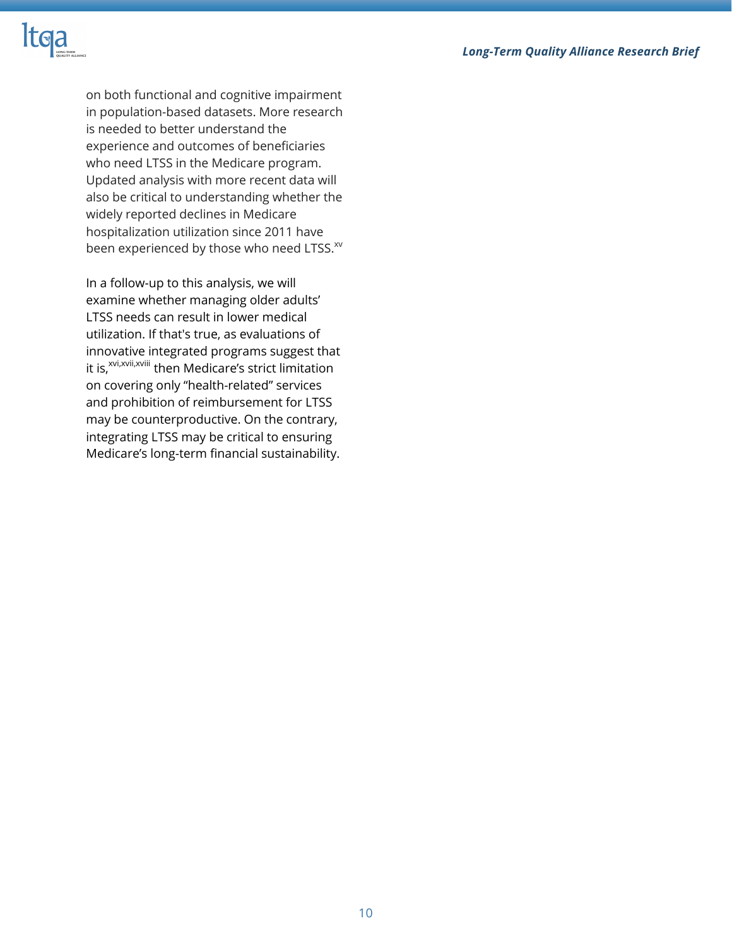#### *Long-Term Quality Alliance Research Brief*



on both functional and cognitive impairment in population-based datasets. More research is needed to better understand the experience and outcomes of beneficiaries who need LTSS in the Medicare program. Updated analysis with more recent data will also be critical to understanding whether the widely reported declines in Medicare hospitalization utilization since 2011 have been experienced by those who need LTSS.<sup>xv</sup>

In a follow-up to this analysis, we will examine whether managing older adults' LTSS needs can result in lower medical utilization. If that's true, as evaluations of innovative integrated programs suggest that it is,<sup>xvi,xvii,xviii</sup> then Medicare's strict limitation on covering only "health-related" services and prohibition of reimbursement for LTSS may be counterproductive. On the contrary, integrating LTSS may be critical to ensuring Medicare's long-term financial sustainability.